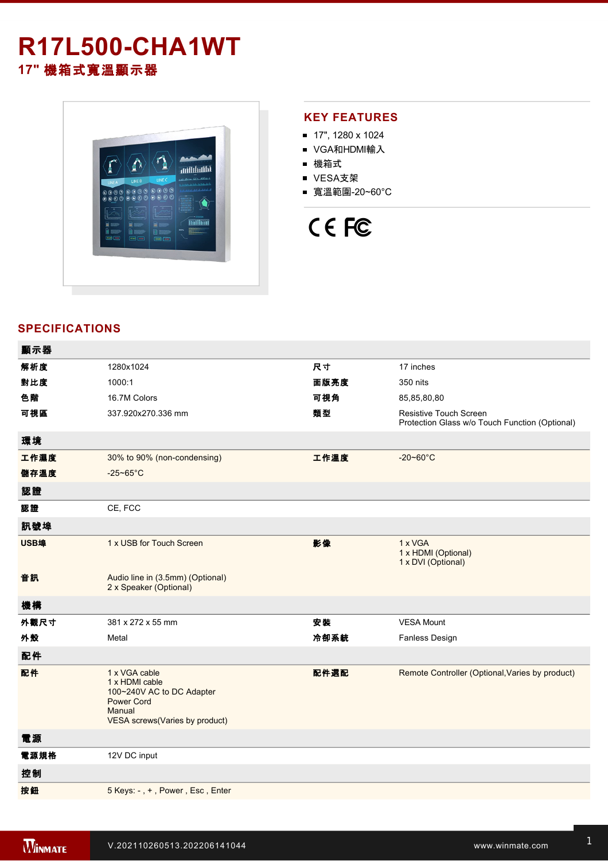## **R17L500-CHA1WT 17"** 機箱式寬溫顯示器



#### **KEY FEATURES**

- 17", 1280 x 1024
- VGA和HDMI輸入
- 機箱式
- VESA支架
- 寬溫範圍-20~60°C

# CE FC

#### **SPECIFICATIONS**

| 顯示器  |                                                                                                                               |      |                                                                                 |
|------|-------------------------------------------------------------------------------------------------------------------------------|------|---------------------------------------------------------------------------------|
| 解析度  | 1280x1024                                                                                                                     | 尺寸   | 17 inches                                                                       |
| 對比度  | 1000:1                                                                                                                        | 面版亮度 | 350 nits                                                                        |
| 色階   | 16.7M Colors                                                                                                                  | 可視角  | 85,85,80,80                                                                     |
| 可視區  | 337.920x270.336 mm                                                                                                            | 類型   | <b>Resistive Touch Screen</b><br>Protection Glass w/o Touch Function (Optional) |
| 環境   |                                                                                                                               |      |                                                                                 |
| 工作濕度 | 30% to 90% (non-condensing)                                                                                                   | 工作溫度 | $-20 - 60^{\circ}$ C                                                            |
| 儲存溫度 | $-25 - 65$ °C                                                                                                                 |      |                                                                                 |
| 認證   |                                                                                                                               |      |                                                                                 |
| 認證   | CE, FCC                                                                                                                       |      |                                                                                 |
| 訊號埠  |                                                                                                                               |      |                                                                                 |
| USB埠 | 1 x USB for Touch Screen                                                                                                      | 影像   | 1 x VGA<br>1 x HDMI (Optional)<br>1 x DVI (Optional)                            |
| 音訊   | Audio line in (3.5mm) (Optional)<br>2 x Speaker (Optional)                                                                    |      |                                                                                 |
| 機構   |                                                                                                                               |      |                                                                                 |
| 外觀尺寸 | 381 x 272 x 55 mm                                                                                                             | 安装   | <b>VESA Mount</b>                                                               |
| 外殼   | Metal                                                                                                                         | 冷卻系統 | Fanless Design                                                                  |
| 配件   |                                                                                                                               |      |                                                                                 |
| 配件   | 1 x VGA cable<br>1 x HDMI cable<br>100~240V AC to DC Adapter<br><b>Power Cord</b><br>Manual<br>VESA screws(Varies by product) | 配件選配 | Remote Controller (Optional, Varies by product)                                 |
| 電源   |                                                                                                                               |      |                                                                                 |
| 電源規格 | 12V DC input                                                                                                                  |      |                                                                                 |
| 控制   |                                                                                                                               |      |                                                                                 |
| 按鈕   | 5 Keys: -, +, Power, Esc, Enter                                                                                               |      |                                                                                 |
|      |                                                                                                                               |      |                                                                                 |

**DIMENSIONS**  UNIT:MM